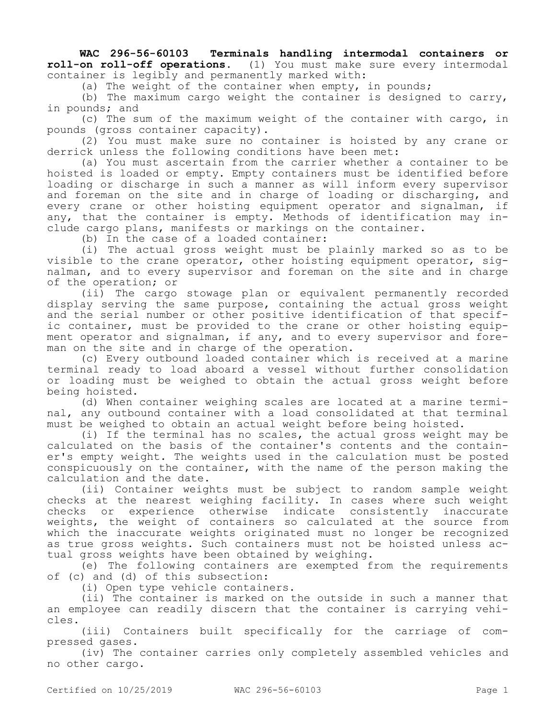**WAC 296-56-60103 Terminals handling intermodal containers or roll-on roll-off operations.** (1) You must make sure every intermodal container is legibly and permanently marked with:

(a) The weight of the container when empty, in pounds;

(b) The maximum cargo weight the container is designed to carry, in pounds; and

(c) The sum of the maximum weight of the container with cargo, in pounds (gross container capacity).

(2) You must make sure no container is hoisted by any crane or derrick unless the following conditions have been met:

(a) You must ascertain from the carrier whether a container to be hoisted is loaded or empty. Empty containers must be identified before loading or discharge in such a manner as will inform every supervisor and foreman on the site and in charge of loading or discharging, and every crane or other hoisting equipment operator and signalman, if any, that the container is empty. Methods of identification may include cargo plans, manifests or markings on the container.

(b) In the case of a loaded container:

(i) The actual gross weight must be plainly marked so as to be visible to the crane operator, other hoisting equipment operator, signalman, and to every supervisor and foreman on the site and in charge of the operation; or

(ii) The cargo stowage plan or equivalent permanently recorded display serving the same purpose, containing the actual gross weight and the serial number or other positive identification of that specific container, must be provided to the crane or other hoisting equipment operator and signalman, if any, and to every supervisor and foreman on the site and in charge of the operation.

(c) Every outbound loaded container which is received at a marine terminal ready to load aboard a vessel without further consolidation or loading must be weighed to obtain the actual gross weight before being hoisted.

(d) When container weighing scales are located at a marine terminal, any outbound container with a load consolidated at that terminal must be weighed to obtain an actual weight before being hoisted.

(i) If the terminal has no scales, the actual gross weight may be calculated on the basis of the container's contents and the container's empty weight. The weights used in the calculation must be posted conspicuously on the container, with the name of the person making the calculation and the date.

(ii) Container weights must be subject to random sample weight checks at the nearest weighing facility. In cases where such weight checks or experience otherwise indicate consistently inaccurate weights, the weight of containers so calculated at the source from which the inaccurate weights originated must no longer be recognized as true gross weights. Such containers must not be hoisted unless actual gross weights have been obtained by weighing.

(e) The following containers are exempted from the requirements of (c) and (d) of this subsection:

(i) Open type vehicle containers.

(ii) The container is marked on the outside in such a manner that an employee can readily discern that the container is carrying vehicles.

(iii) Containers built specifically for the carriage of compressed gases.

(iv) The container carries only completely assembled vehicles and no other cargo.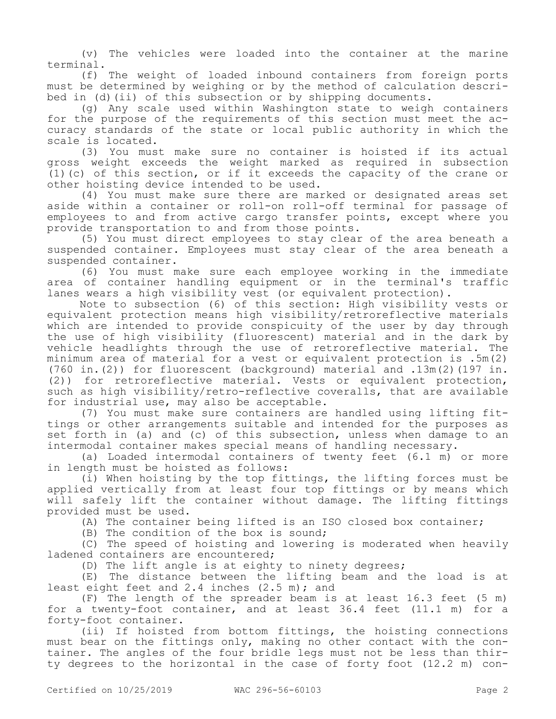(v) The vehicles were loaded into the container at the marine terminal.

(f) The weight of loaded inbound containers from foreign ports must be determined by weighing or by the method of calculation described in (d)(ii) of this subsection or by shipping documents.

(g) Any scale used within Washington state to weigh containers for the purpose of the requirements of this section must meet the accuracy standards of the state or local public authority in which the scale is located.

(3) You must make sure no container is hoisted if its actual gross weight exceeds the weight marked as required in subsection (1)(c) of this section, or if it exceeds the capacity of the crane or other hoisting device intended to be used.

(4) You must make sure there are marked or designated areas set aside within a container or roll-on roll-off terminal for passage of employees to and from active cargo transfer points, except where you provide transportation to and from those points.

(5) You must direct employees to stay clear of the area beneath a suspended container. Employees must stay clear of the area beneath a suspended container.

(6) You must make sure each employee working in the immediate area of container handling equipment or in the terminal's traffic lanes wears a high visibility vest (or equivalent protection).

Note to subsection (6) of this section: High visibility vests or equivalent protection means high visibility/retroreflective materials which are intended to provide conspicuity of the user by day through the use of high visibility (fluorescent) material and in the dark by vehicle headlights through the use of retroreflective material. The minimum area of material for a vest or equivalent protection is .5m(2) (760 in.(2)) for fluorescent (background) material and .13m(2)(197 in. (2)) for retroreflective material. Vests or equivalent protection, such as high visibility/retro-reflective coveralls, that are available for industrial use, may also be acceptable.

(7) You must make sure containers are handled using lifting fittings or other arrangements suitable and intended for the purposes as set forth in (a) and (c) of this subsection, unless when damage to an intermodal container makes special means of handling necessary.

(a) Loaded intermodal containers of twenty feet (6.1 m) or more in length must be hoisted as follows:

(i) When hoisting by the top fittings, the lifting forces must be applied vertically from at least four top fittings or by means which will safely lift the container without damage. The lifting fittings provided must be used.

(A) The container being lifted is an ISO closed box container;

(B) The condition of the box is sound;

(C) The speed of hoisting and lowering is moderated when heavily ladened containers are encountered;

(D) The lift angle is at eighty to ninety degrees;

(E) The distance between the lifting beam and the load is at least eight feet and 2.4 inches (2.5 m); and

(F) The length of the spreader beam is at least 16.3 feet (5 m) for a twenty-foot container, and at least 36.4 feet (11.1 m) for a forty-foot container.

(ii) If hoisted from bottom fittings, the hoisting connections must bear on the fittings only, making no other contact with the container. The angles of the four bridle legs must not be less than thirty degrees to the horizontal in the case of forty foot (12.2 m) con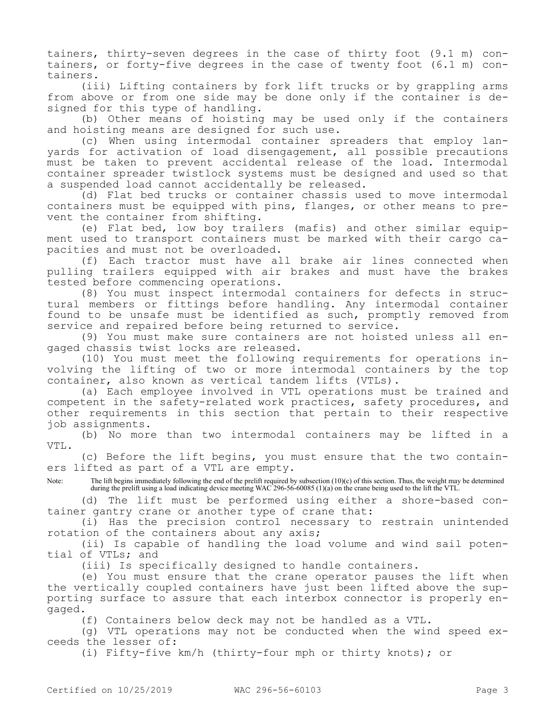tainers, thirty-seven degrees in the case of thirty foot (9.1 m) containers, or forty-five degrees in the case of twenty foot (6.1 m) containers.

(iii) Lifting containers by fork lift trucks or by grappling arms from above or from one side may be done only if the container is designed for this type of handling.

(b) Other means of hoisting may be used only if the containers and hoisting means are designed for such use.

(c) When using intermodal container spreaders that employ lanyards for activation of load disengagement, all possible precautions must be taken to prevent accidental release of the load. Intermodal container spreader twistlock systems must be designed and used so that a suspended load cannot accidentally be released.

(d) Flat bed trucks or container chassis used to move intermodal containers must be equipped with pins, flanges, or other means to prevent the container from shifting.

(e) Flat bed, low boy trailers (mafis) and other similar equipment used to transport containers must be marked with their cargo capacities and must not be overloaded.

(f) Each tractor must have all brake air lines connected when pulling trailers equipped with air brakes and must have the brakes tested before commencing operations.

(8) You must inspect intermodal containers for defects in structural members or fittings before handling. Any intermodal container found to be unsafe must be identified as such, promptly removed from service and repaired before being returned to service.

(9) You must make sure containers are not hoisted unless all engaged chassis twist locks are released.

(10) You must meet the following requirements for operations involving the lifting of two or more intermodal containers by the top container, also known as vertical tandem lifts (VTLs).

(a) Each employee involved in VTL operations must be trained and competent in the safety-related work practices, safety procedures, and other requirements in this section that pertain to their respective job assignments.

(b) No more than two intermodal containers may be lifted in a VTL.

(c) Before the lift begins, you must ensure that the two containers lifted as part of a VTL are empty.

Note: The lift begins immediately following the end of the prelift required by subsection (10)(c) of this section. Thus, the weight may be determined during the prelift using a load indicating device meeting WAC 296-56-60085 (1)(a) on the crane being used to the lift the VTL.

(d) The lift must be performed using either a shore-based container gantry crane or another type of crane that:

(i) Has the precision control necessary to restrain unintended rotation of the containers about any axis;

(ii) Is capable of handling the load volume and wind sail potential of VTLs; and

(iii) Is specifically designed to handle containers.

(e) You must ensure that the crane operator pauses the lift when the vertically coupled containers have just been lifted above the supporting surface to assure that each interbox connector is properly engaged.

(f) Containers below deck may not be handled as a VTL.

(g) VTL operations may not be conducted when the wind speed exceeds the lesser of:

(i) Fifty-five km/h (thirty-four mph or thirty knots); or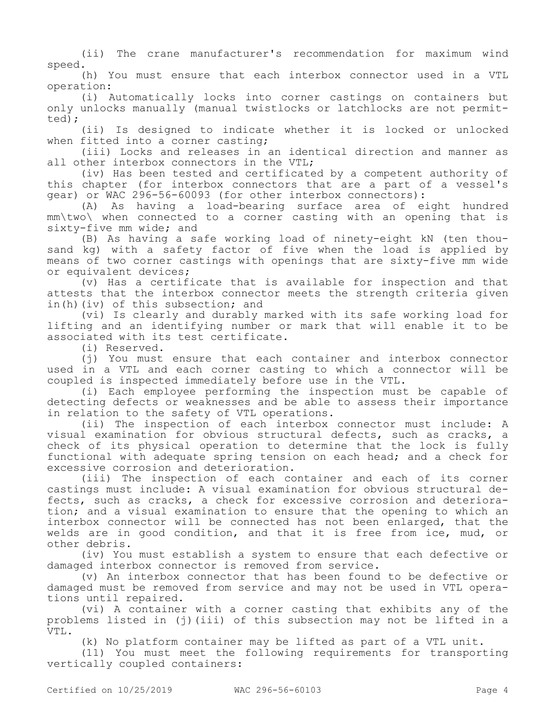(ii) The crane manufacturer's recommendation for maximum wind speed.

(h) You must ensure that each interbox connector used in a VTL operation:

(i) Automatically locks into corner castings on containers but only unlocks manually (manual twistlocks or latchlocks are not permitted);

(ii) Is designed to indicate whether it is locked or unlocked when fitted into a corner casting;

(iii) Locks and releases in an identical direction and manner as all other interbox connectors in the VTL;

(iv) Has been tested and certificated by a competent authority of this chapter (for interbox connectors that are a part of a vessel's gear) or WAC 296-56-60093 (for other interbox connectors):

(A) As having a load-bearing surface area of eight hundred mm\two\ when connected to a corner casting with an opening that is sixty-five mm wide; and

(B) As having a safe working load of ninety-eight kN (ten thousand kg) with a safety factor of five when the load is applied by means of two corner castings with openings that are sixty-five mm wide or equivalent devices;

(v) Has a certificate that is available for inspection and that attests that the interbox connector meets the strength criteria given in(h)(iv) of this subsection; and

(vi) Is clearly and durably marked with its safe working load for lifting and an identifying number or mark that will enable it to be associated with its test certificate.

(i) Reserved.

(j) You must ensure that each container and interbox connector used in a VTL and each corner casting to which a connector will be coupled is inspected immediately before use in the VTL.

(i) Each employee performing the inspection must be capable of detecting defects or weaknesses and be able to assess their importance in relation to the safety of VTL operations.

(ii) The inspection of each interbox connector must include: A visual examination for obvious structural defects, such as cracks, a check of its physical operation to determine that the lock is fully functional with adequate spring tension on each head; and a check for excessive corrosion and deterioration.

(iii) The inspection of each container and each of its corner castings must include: A visual examination for obvious structural defects, such as cracks, a check for excessive corrosion and deterioration; and a visual examination to ensure that the opening to which an interbox connector will be connected has not been enlarged, that the welds are in good condition, and that it is free from ice, mud, or other debris.

(iv) You must establish a system to ensure that each defective or damaged interbox connector is removed from service.

(v) An interbox connector that has been found to be defective or damaged must be removed from service and may not be used in VTL operations until repaired.

(vi) A container with a corner casting that exhibits any of the problems listed in (j)(iii) of this subsection may not be lifted in a VTL.

(k) No platform container may be lifted as part of a VTL unit.

(11) You must meet the following requirements for transporting vertically coupled containers: